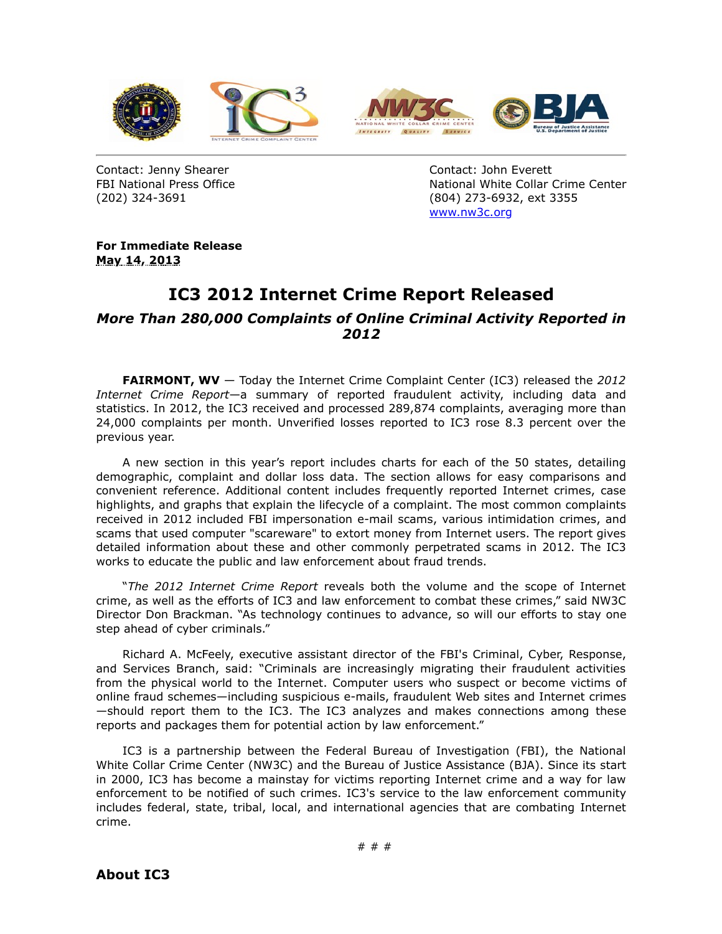

Contact: Jenny Shearer FBI National Press Office (202) 324-3691

Contact: John Everett National White Collar Crime Center (804) 273-6932, ext 3355 [www.nw3c.org](https://www.ic3.gov/egress.aspx?u=http%3a%2f%2fwww.nw3c.org%2f&h=D0B844904184728672F10384C4375E6599C92072B70147E562BFADBD199D667D)

**For Immediate Release May 14, 2013**

## **IC3 2012 Internet Crime Report Released**

## *More Than 280,000 Complaints of Online Criminal Activity Reported in 2012*

**FAIRMONT, WV** — Today the Internet Crime Complaint Center (IC3) released the *2012 Internet Crime Report*—a summary of reported fraudulent activity, including data and statistics. In 2012, the IC3 received and processed 289,874 complaints, averaging more than 24,000 complaints per month. Unverified losses reported to IC3 rose 8.3 percent over the previous year.

A new section in this year's report includes charts for each of the 50 states, detailing demographic, complaint and dollar loss data. The section allows for easy comparisons and convenient reference. Additional content includes frequently reported Internet crimes, case highlights, and graphs that explain the lifecycle of a complaint. The most common complaints received in 2012 included FBI impersonation e-mail scams, various intimidation crimes, and scams that used computer "scareware" to extort money from Internet users. The report gives detailed information about these and other commonly perpetrated scams in 2012. The IC3 works to educate the public and law enforcement about fraud trends.

"*The 2012 Internet Crime Report* reveals both the volume and the scope of Internet crime, as well as the efforts of IC3 and law enforcement to combat these crimes," said NW3C Director Don Brackman. "As technology continues to advance, so will our efforts to stay one step ahead of cyber criminals."

Richard A. McFeely, executive assistant director of the FBI's Criminal, Cyber, Response, and Services Branch, said: "Criminals are increasingly migrating their fraudulent activities from the physical world to the Internet. Computer users who suspect or become victims of online fraud schemes—including suspicious e-mails, fraudulent Web sites and Internet crimes —should report them to the IC3. The IC3 analyzes and makes connections among these reports and packages them for potential action by law enforcement."

IC3 is a partnership between the Federal Bureau of Investigation (FBI), the National White Collar Crime Center (NW3C) and the Bureau of Justice Assistance (BJA). Since its start in 2000, IC3 has become a mainstay for victims reporting Internet crime and a way for law enforcement to be notified of such crimes. IC3's service to the law enforcement community includes federal, state, tribal, local, and international agencies that are combating Internet crime.